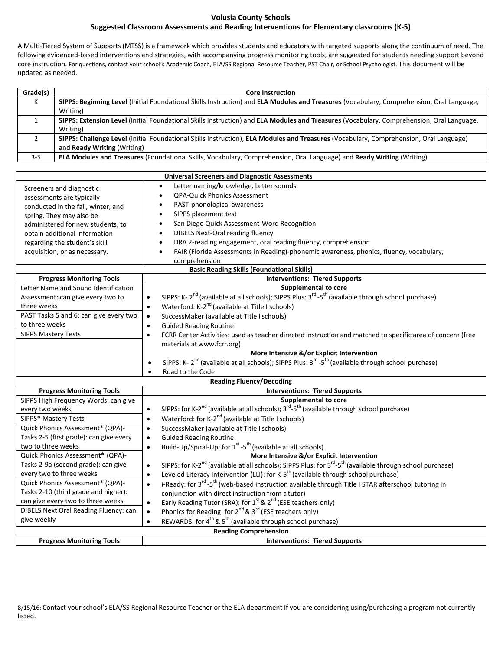## **Volusia County Schools**

## **Suggested Classroom Assessments and Reading Interventions for Elementary classrooms (K-5)**

A Multi-Tiered System of Supports (MTSS) is a framework which provides students and educators with targeted supports along the continuum of need. The following evidenced-based interventions and strategies, with accompanying progress monitoring tools, are suggested for students needing support beyond core instruction. For questions, contact your school's Academic Coach, ELA/SS Regional Resource Teacher, PST Chair, or School Psychologist. This document will be updated as needed.

| Grade(s) | <b>Core Instruction</b>                                                                                                                                                      |
|----------|------------------------------------------------------------------------------------------------------------------------------------------------------------------------------|
| К        | SIPPS: Beginning Level (Initial Foundational Skills Instruction) and ELA Modules and Treasures (Vocabulary, Comprehension, Oral Language,<br>Writing)                        |
|          | SIPPS: Extension Level (Initial Foundational Skills Instruction) and ELA Modules and Treasures (Vocabulary, Comprehension, Oral Language,<br>Writing)                        |
|          | SIPPS: Challenge Level (Initial Foundational Skills Instruction), ELA Modules and Treasures (Vocabulary, Comprehension, Oral Language)<br>and <b>Ready Writing</b> (Writing) |
| $3 - 5$  | <b>ELA Modules and Treasures</b> (Foundational Skills, Vocabulary, Comprehension, Oral Language) and Ready Writing (Writing)                                                 |

| <b>Universal Screeners and Diagnostic Assessments</b> |                                                                                                                                                            |  |  |
|-------------------------------------------------------|------------------------------------------------------------------------------------------------------------------------------------------------------------|--|--|
| Screeners and diagnostic                              | Letter naming/knowledge, Letter sounds<br>$\bullet$                                                                                                        |  |  |
| assessments are typically                             | <b>QPA-Quick Phonics Assessment</b><br>$\bullet$                                                                                                           |  |  |
| conducted in the fall, winter, and                    | PAST-phonological awareness                                                                                                                                |  |  |
| spring. They may also be                              | SIPPS placement test                                                                                                                                       |  |  |
| administered for new students, to                     | San Diego Quick Assessment-Word Recognition                                                                                                                |  |  |
| obtain additional information                         | <b>DIBELS Next-Oral reading fluency</b><br>$\bullet$                                                                                                       |  |  |
| regarding the student's skill                         | DRA 2-reading engagement, oral reading fluency, comprehension<br>$\bullet$                                                                                 |  |  |
| acquisition, or as necessary.                         | FAIR (Florida Assessments in Reading)-phonemic awareness, phonics, fluency, vocabulary,<br>$\bullet$                                                       |  |  |
|                                                       | comprehension                                                                                                                                              |  |  |
| <b>Basic Reading Skills (Foundational Skills)</b>     |                                                                                                                                                            |  |  |
| <b>Progress Monitoring Tools</b>                      | <b>Interventions: Tiered Supports</b>                                                                                                                      |  |  |
| Letter Name and Sound Identification                  | <b>Supplemental to core</b>                                                                                                                                |  |  |
| Assessment: can give every two to                     | SIPPS: K-2 <sup>nd</sup> (available at all schools); SIPPS Plus: 3 <sup>rd</sup> -5 <sup>th</sup> (available through school purchase)<br>$\bullet$         |  |  |
| three weeks                                           | Waterford: K-2 <sup>nd</sup> (available at Title I schools)<br>$\bullet$                                                                                   |  |  |
| PAST Tasks 5 and 6: can give every two                | SuccessMaker (available at Title I schools)<br>$\bullet$                                                                                                   |  |  |
| to three weeks                                        | <b>Guided Reading Routine</b><br>$\bullet$                                                                                                                 |  |  |
| <b>SIPPS Mastery Tests</b>                            | FCRR Center Activities: used as teacher directed instruction and matched to specific area of concern (free<br>$\bullet$                                    |  |  |
|                                                       | materials at www.fcrr.org)                                                                                                                                 |  |  |
|                                                       | More Intensive &/or Explicit Intervention                                                                                                                  |  |  |
|                                                       | SIPPS: K- 2 <sup>nd</sup> (available at all schools); SIPPS Plus: 3 <sup>rd</sup> -5 <sup>th</sup> (available through school purchase)<br>$\bullet$        |  |  |
|                                                       | Road to the Code<br>$\bullet$                                                                                                                              |  |  |
|                                                       | <b>Reading Fluency/Decoding</b>                                                                                                                            |  |  |
| <b>Progress Monitoring Tools</b>                      | <b>Interventions: Tiered Supports</b>                                                                                                                      |  |  |
| SIPPS High Frequency Words: can give                  | Supplemental to core                                                                                                                                       |  |  |
| every two weeks                                       | SIPPS: for K-2 <sup>nd</sup> (available at all schools); 3 <sup>rd</sup> -5 <sup>th</sup> (available through school purchase)<br>$\bullet$                 |  |  |
| SIPPS* Mastery Tests                                  | Waterford: for K-2 <sup>nd</sup> (available at Title I schools)<br>$\bullet$                                                                               |  |  |
| Quick Phonics Assessment* (QPA)-                      | SuccessMaker (available at Title I schools)<br>$\bullet$                                                                                                   |  |  |
| Tasks 2-5 (first grade): can give every               | <b>Guided Reading Routine</b><br>$\bullet$                                                                                                                 |  |  |
| two to three weeks                                    | Build-Up/Spiral-Up: for 1 <sup>st</sup> -5 <sup>th</sup> (available at all schools)<br>$\bullet$                                                           |  |  |
| Quick Phonics Assessment* (QPA)-                      | More Intensive &/or Explicit Intervention                                                                                                                  |  |  |
| Tasks 2-9a (second grade): can give                   | SIPPS: for K-2 <sup>nd</sup> (available at all schools); SIPPS Plus: for 3 <sup>rd</sup> -5 <sup>th</sup> (available through school purchase)<br>$\bullet$ |  |  |
| every two to three weeks                              | Leveled Literacy Intervention (LLI): for K-5 <sup>th</sup> (available through school purchase)<br>$\bullet$                                                |  |  |
| Quick Phonics Assessment* (QPA)-                      | i-Ready: for 3 <sup>rd</sup> -5 <sup>th</sup> (web-based instruction available through Title I STAR afterschool tutoring in<br>$\bullet$                   |  |  |
| Tasks 2-10 (third grade and higher):                  | conjunction with direct instruction from a tutor)                                                                                                          |  |  |
| can give every two to three weeks                     | Early Reading Tutor (SRA): for $1^{st}$ & $2^{nd}$ (ESE teachers only)<br>$\bullet$                                                                        |  |  |
| DIBELS Next Oral Reading Fluency: can                 | Phonics for Reading: for 2 <sup>nd</sup> & 3 <sup>rd</sup> (ESE teachers only)<br>$\bullet$                                                                |  |  |
| give weekly                                           | REWARDS: for 4 <sup>th</sup> & 5 <sup>th</sup> (available through school purchase)<br>$\bullet$                                                            |  |  |
| <b>Reading Comprehension</b>                          |                                                                                                                                                            |  |  |
| <b>Progress Monitoring Tools</b>                      | <b>Interventions: Tiered Supports</b>                                                                                                                      |  |  |

8/15/16: Contact your school's ELA/SS Regional Resource Teacher or the ELA department if you are considering using/purchasing a program not currently listed.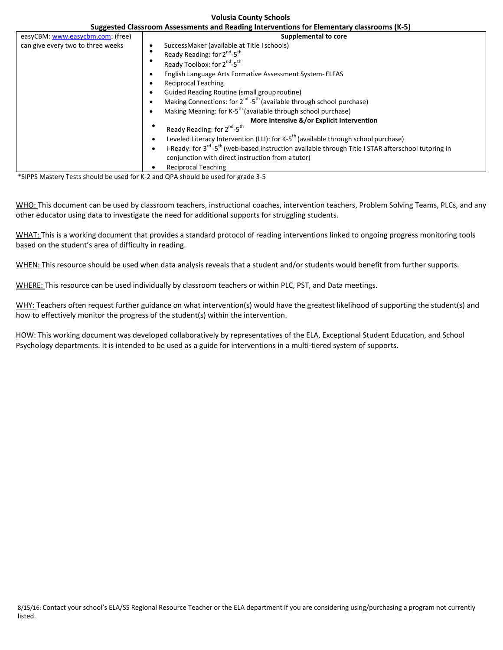| Suggested Classroom Assessments and Reading Interventions for Elementary classrooms (K-5) |                                                                                                                                                                                                                                                                                                                                                                                                                                                                                                                                                                                                                                                                                                                                                                                                                                                                                                         |  |  |
|-------------------------------------------------------------------------------------------|---------------------------------------------------------------------------------------------------------------------------------------------------------------------------------------------------------------------------------------------------------------------------------------------------------------------------------------------------------------------------------------------------------------------------------------------------------------------------------------------------------------------------------------------------------------------------------------------------------------------------------------------------------------------------------------------------------------------------------------------------------------------------------------------------------------------------------------------------------------------------------------------------------|--|--|
| easyCBM: www.easycbm.com: (free)                                                          | <b>Supplemental to core</b>                                                                                                                                                                                                                                                                                                                                                                                                                                                                                                                                                                                                                                                                                                                                                                                                                                                                             |  |  |
| can give every two to three weeks                                                         | SuccessMaker (available at Title I schools)<br>Ready Reading: for 2 <sup>nd</sup> -5 <sup>th</sup><br>Ready Toolbox: for 2 <sup>nd</sup> -5 <sup>th</sup><br>English Language Arts Formative Assessment System-ELFAS<br><b>Reciprocal Teaching</b><br>Guided Reading Routine (small group routine)<br>Making Connections: for 2 <sup>nd</sup> -5 <sup>th</sup> (available through school purchase)<br>Making Meaning: for K-5 <sup>th</sup> (available through school purchase)<br>More Intensive &/or Explicit Intervention<br>Ready Reading: for 2 <sup>nd</sup> -5 <sup>th</sup><br>Leveled Literacy Intervention (LLI): for K-5 <sup>th</sup> (available through school purchase)<br>i-Ready: for 3 <sup>rd</sup> -5 <sup>th</sup> (web-based instruction available through Title I STAR afterschool tutoring in<br>conjunction with direct instruction from a tutor)<br><b>Reciprocal Teaching</b> |  |  |
|                                                                                           | *SIPPS Mastery Tests should be used for K-2 and QPA should be used for grade 3-5                                                                                                                                                                                                                                                                                                                                                                                                                                                                                                                                                                                                                                                                                                                                                                                                                        |  |  |

**Volusia County Schools**

WHO: This document can be used by classroom teachers, instructional coaches, intervention teachers, Problem Solving Teams, PLCs, and any other educator using data to investigate the need for additional supports for struggling students.

WHAT: This is a working document that provides a standard protocol of reading interventions linked to ongoing progress monitoring tools based on the student's area of difficulty in reading.

WHEN: This resource should be used when data analysis reveals that a student and/or students would benefit from further supports.

WHERE: This resource can be used individually by classroom teachers or within PLC, PST, and Data meetings.

WHY: Teachers often request further guidance on what intervention(s) would have the greatest likelihood of supporting the student(s) and how to effectively monitor the progress of the student(s) within the intervention.

HOW: This working document was developed collaboratively by representatives of the ELA, Exceptional Student Education, and School Psychology departments. It is intended to be used as a guide for interventions in a multi-tiered system of supports.